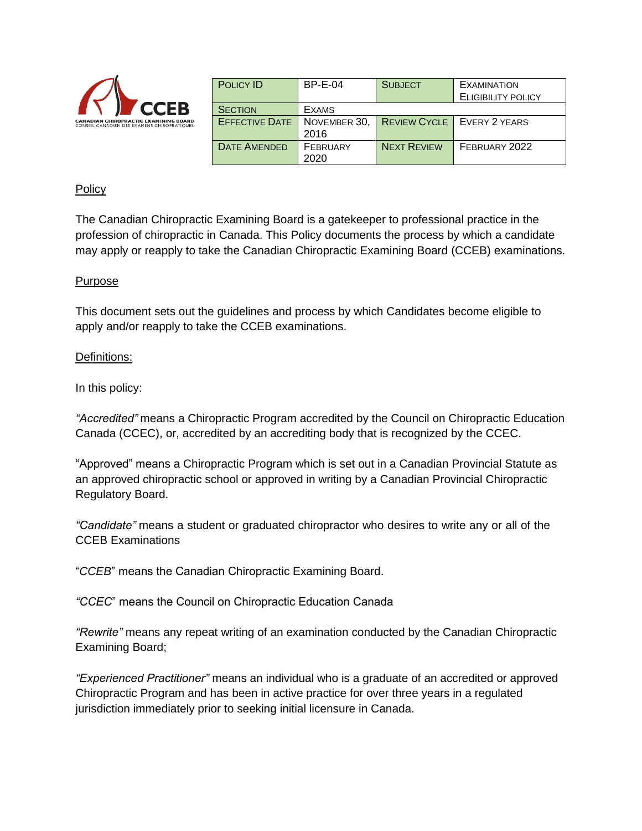

| <b>POLICY ID</b>      | $BP-E-04$    | <b>SUBJECT</b>     | <b>EXAMINATION</b>                  |
|-----------------------|--------------|--------------------|-------------------------------------|
|                       |              |                    | <b>ELIGIBILITY POLICY</b>           |
| <b>SECTION</b>        | <b>EXAMS</b> |                    |                                     |
| <b>EFFECTIVE DATE</b> | NOVEMBER 30, |                    | <b>REVIEW CYCLE   EVERY 2 YEARS</b> |
|                       | 2016         |                    |                                     |
| <b>DATE AMENDED</b>   | FEBRUARY     | <b>NEXT REVIEW</b> | FEBRUARY 2022                       |
|                       | 2020         |                    |                                     |

### Policy

The Canadian Chiropractic Examining Board is a gatekeeper to professional practice in the profession of chiropractic in Canada. This Policy documents the process by which a candidate may apply or reapply to take the Canadian Chiropractic Examining Board (CCEB) examinations.

#### Purpose

This document sets out the guidelines and process by which Candidates become eligible to apply and/or reapply to take the CCEB examinations.

#### Definitions:

In this policy:

*"Accredited"* means a Chiropractic Program accredited by the Council on Chiropractic Education Canada (CCEC), or, accredited by an accrediting body that is recognized by the CCEC.

"Approved" means a Chiropractic Program which is set out in a Canadian Provincial Statute as an approved chiropractic school or approved in writing by a Canadian Provincial Chiropractic Regulatory Board.

*"Candidate"* means a student or graduated chiropractor who desires to write any or all of the CCEB Examinations

"*CCEB*" means the Canadian Chiropractic Examining Board.

*"CCEC*" means the Council on Chiropractic Education Canada

*"Rewrite"* means any repeat writing of an examination conducted by the Canadian Chiropractic Examining Board;

*"Experienced Practitioner"* means an individual who is a graduate of an accredited or approved Chiropractic Program and has been in active practice for over three years in a regulated jurisdiction immediately prior to seeking initial licensure in Canada.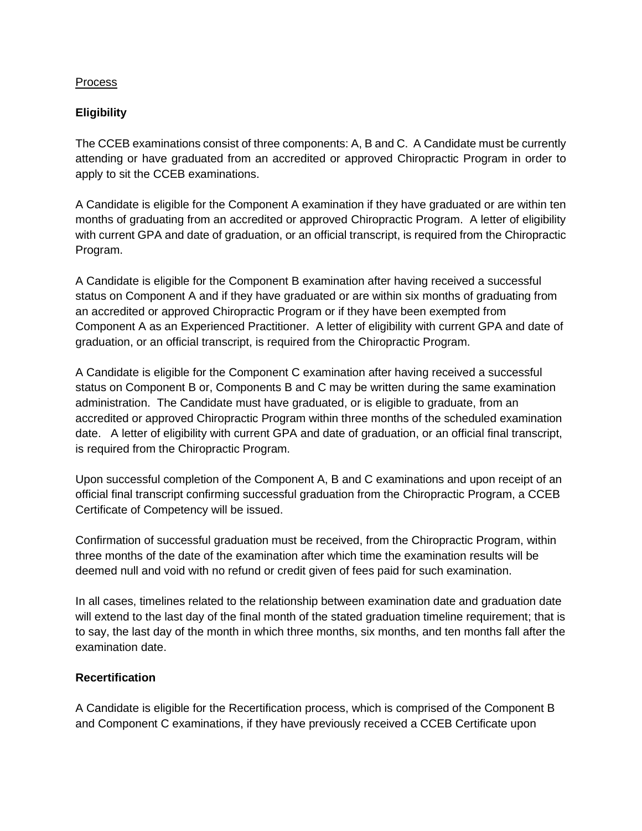## Process

# **Eligibility**

The CCEB examinations consist of three components: A, B and C. A Candidate must be currently attending or have graduated from an accredited or approved Chiropractic Program in order to apply to sit the CCEB examinations.

A Candidate is eligible for the Component A examination if they have graduated or are within ten months of graduating from an accredited or approved Chiropractic Program. A letter of eligibility with current GPA and date of graduation, or an official transcript, is required from the Chiropractic Program.

A Candidate is eligible for the Component B examination after having received a successful status on Component A and if they have graduated or are within six months of graduating from an accredited or approved Chiropractic Program or if they have been exempted from Component A as an Experienced Practitioner. A letter of eligibility with current GPA and date of graduation, or an official transcript, is required from the Chiropractic Program.

A Candidate is eligible for the Component C examination after having received a successful status on Component B or, Components B and C may be written during the same examination administration. The Candidate must have graduated, or is eligible to graduate, from an accredited or approved Chiropractic Program within three months of the scheduled examination date. A letter of eligibility with current GPA and date of graduation, or an official final transcript, is required from the Chiropractic Program.

Upon successful completion of the Component A, B and C examinations and upon receipt of an official final transcript confirming successful graduation from the Chiropractic Program, a CCEB Certificate of Competency will be issued.

Confirmation of successful graduation must be received, from the Chiropractic Program, within three months of the date of the examination after which time the examination results will be deemed null and void with no refund or credit given of fees paid for such examination.

In all cases, timelines related to the relationship between examination date and graduation date will extend to the last day of the final month of the stated graduation timeline requirement; that is to say, the last day of the month in which three months, six months, and ten months fall after the examination date.

# **Recertification**

A Candidate is eligible for the Recertification process, which is comprised of the Component B and Component C examinations, if they have previously received a CCEB Certificate upon